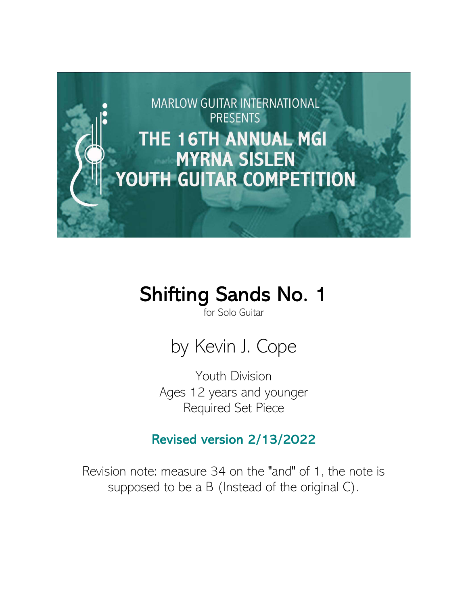

## Shifting Sands No. 1

for Solo Guitar



Youth Division Ages 12 years and younger Required Set Piece

## Revised version 2/13/2022

Revision note: measure 34 on the "and" of 1, the note is supposed to be a B (Instead of the original C).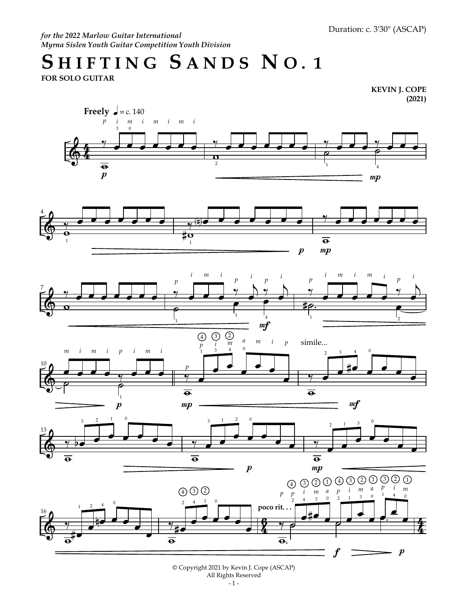Duration: c. 3'30" (ASCAP)

*for the 2022 Marlow Guitar International Myrna Sislen Youth Guitar Competition Youth Division*

## SHIFTING SANDS NO. 1

**FOR SOLO GUITAR**

**KEVIN J. COPE (2021)**













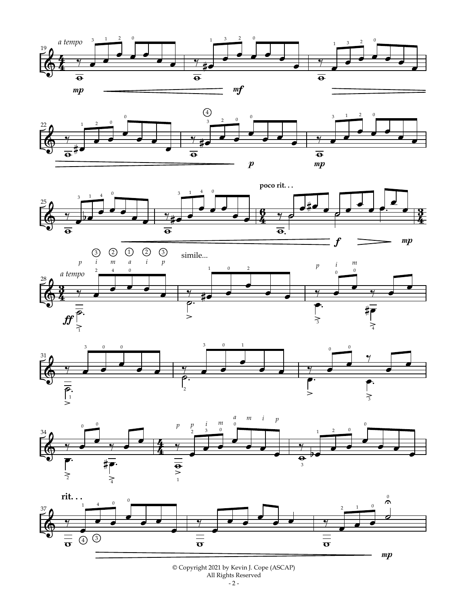













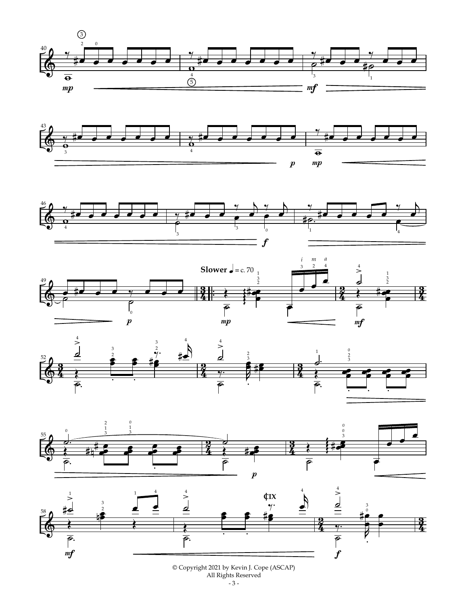